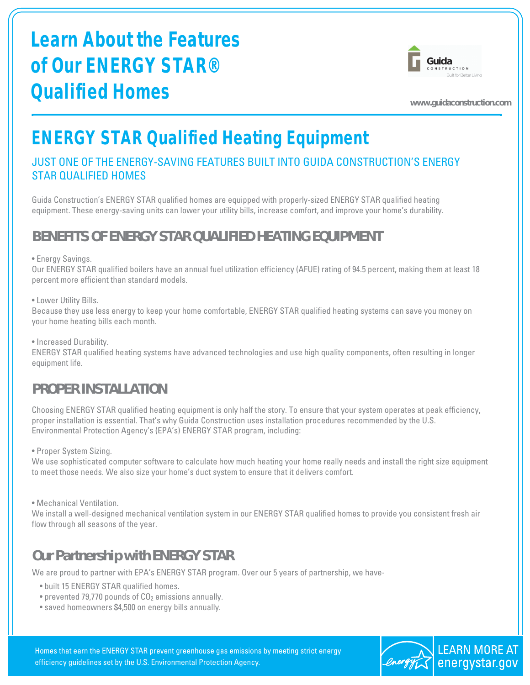# **Learn About the Features of Our ENERGY STAR® Qualified Homes**



**www.guidaconstruction.com**

# **ENERGY STAR Qualified Heating Equipment**

### JUST ONE OF THE ENERGY-SAVING FEATURES BUILT INTO GUIDA CONSTRUCTION'S ENERGY STAR QUALIFIED HOMES

Guida Construction's ENERGY STAR qualified homes are equipped with properly-sized ENERGY STAR qualified heating equipment. These energy-saving units can lower your utility bills, increase comfort, and improve your home's durability.

## **BENEFITS OF ENERGY STAR QUALIFIED HEATING EQUIPMENT**

#### • Energy Savings.

Our ENERGY STAR qualified boilers have an annual fuel utilization efficiency (AFUE) rating of 94.5 percent, making them at least 18 percent more efficient than standard models.

#### • Lower Utility Bills.

Because they use less energy to keep your home comfortable, ENERGY STAR qualified heating systems can save you money on your home heating bills each month.

• Increased Durability.

ENERGY STAR qualified heating systems have advanced technologies and use high quality components, often resulting in longer equipment life.

### **PROPER INSTALLATION**

Choosing ENERGY STAR qualified heating equipment is only half the story. To ensure that your system operates at peak efficiency, proper installation is essential. That's why Guida Construction uses installation procedures recommended by the U.S. Environmental Protection Agency's (EPA's) ENERGY STAR program, including:

• Proper System Sizing.

We use sophisticated computer software to calculate how much heating your home really needs and install the right size equipment to meet those needs. We also size your home's duct system to ensure that it delivers comfort.

• Mechanical Ventilation.

We install a well-designed mechanical ventilation system in our ENERGY STAR qualified homes to provide you consistent fresh air flow through all seasons of the year.

## **Our Partnership with ENERGY STAR**

We are proud to partner with EPA's ENERGY STAR program. Over our 5 years of partnership, we have-

- built 15 ENERGY STAR qualified homes.
- prevented 79,770 pounds of CO<sub>2</sub> emissions annually.
- saved homeowners \$4,500 on energy bills annually.